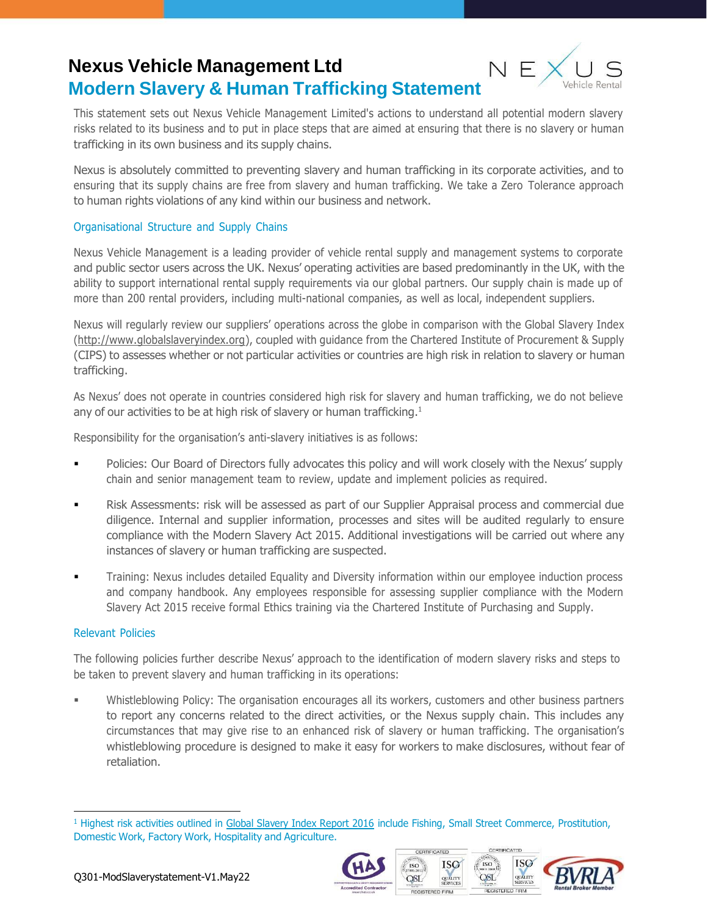## **Nexus Vehicle Management Ltd Modern Slavery & Human Trafficking Statement**



This statement sets out Nexus Vehicle Management Limited's actions to understand all potential modern slavery risks related to its business and to put in place steps that are aimed at ensuring that there is no slavery or human trafficking in its own business and its supply chains.

Nexus is absolutely committed to preventing slavery and human trafficking in its corporate activities, and to ensuring that its supply chains are free from slavery and human trafficking. We take a Zero Tolerance approach to human rights violations of any kind within our business and network.

### Organisational Structure and Supply Chains

Nexus Vehicle Management is a leading provider of vehicle rental supply and management systems to corporate and public sector users across the UK. Nexus' operating activities are based predominantly in the UK, with the ability to support international rental supply requirements via our global partners. Our supply chain is made up of more than 200 rental providers, including multi-national companies, as well as local, independent suppliers.

Nexus will regularly review our suppliers' operations across the globe in comparison with the Global Slavery Index [\(http://www.globalslaveryindex.org\)](http://www.globalslaveryindex.org/), coupled with guidance from the Chartered Institute of Procurement & Supply (CIPS) to assesses whether or not particular activities or countries are high risk in relation to slavery or human trafficking.

As Nexus' does not operate in countries considered high risk for slavery and human trafficking, we do not believe any of our activities to be at high risk of slavery or human trafficking.<sup>1</sup>

Responsibility for the organisation's anti-slavery initiatives is as follows:

- Policies: Our Board of Directors fully advocates this policy and will work closely with the Nexus' supply chain and senior management team to review, update and implement policies as required.
- Risk Assessments: risk will be assessed as part of our Supplier Appraisal process and commercial due diligence. Internal and supplier information, processes and sites will be audited regularly to ensure compliance with the Modern Slavery Act 2015. Additional investigations will be carried out where any instances of slavery or human trafficking are suspected.
- Training: Nexus includes detailed Equality and Diversity information within our employee induction process and company handbook. Any employees responsible for assessing supplier compliance with the Modern Slavery Act 2015 receive formal Ethics training via the Chartered Institute of Purchasing and Supply.

#### Relevant Policies

The following policies further describe Nexus' approach to the identification of modern slavery risks and steps to be taken to prevent slavery and human trafficking in its operations:

Whistleblowing Policy: The organisation encourages all its workers, customers and other business partners to report any concerns related to the direct activities, or the Nexus supply chain. This includes any circumstances that may give rise to an enhanced risk of slavery or human trafficking. The organisation's whistleblowing procedure is designed to make it easy for workers to make disclosures, without fear of retaliation.

<sup>&</sup>lt;sup>1</sup> Highest risk activities outlined in Global [Slavery](http://assets.globalslaveryindex.org/downloads/Global%2BSlavery%2BIndex%2B2016.pdf) Index Report 2016 include Fishing, Small Street Commerce, Prostitution, Domestic Work, Factory Work, Hospitality and Agriculture.



CERTIFICATED

**ISO** 

**OSL** 

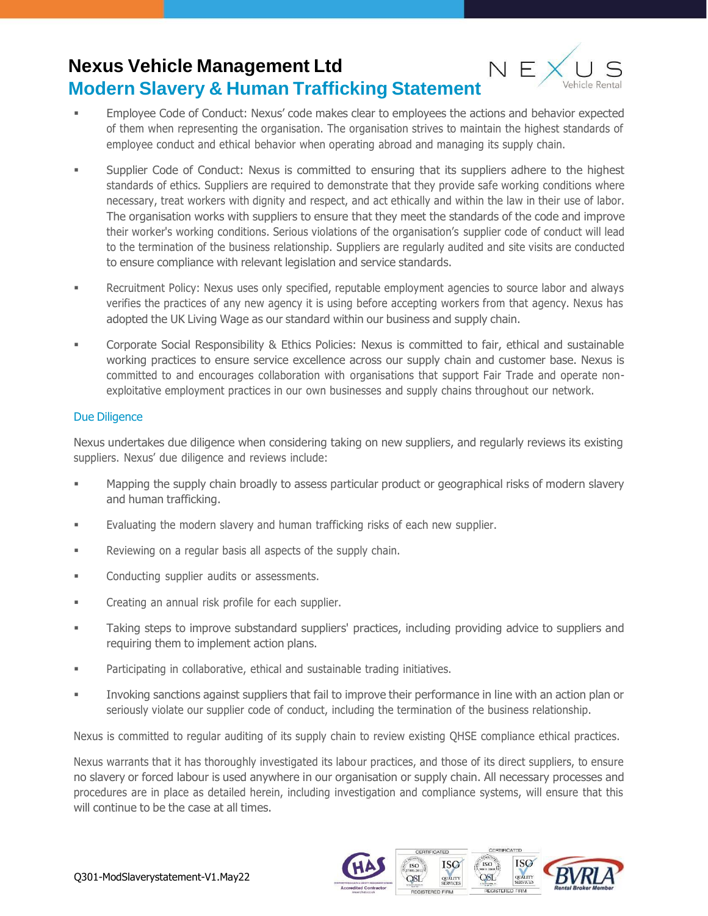# **Nexus Vehicle Management Ltd Modern Slavery & Human Trafficking Statement**



- Employee Code of Conduct: Nexus' code makes clear to employees the actions and behavior expected of them when representing the organisation. The organisation strives to maintain the highest standards of employee conduct and ethical behavior when operating abroad and managing its supply chain.
- Supplier Code of Conduct: Nexus is committed to ensuring that its suppliers adhere to the highest standards of ethics. Suppliers are required to demonstrate that they provide safe working conditions where necessary, treat workers with dignity and respect, and act ethically and within the law in their use of labor. The organisation works with suppliers to ensure that they meet the standards of the code and improve their worker's working conditions. Serious violations of the organisation's supplier code of conduct will lead to the termination of the business relationship. Suppliers are regularly audited and site visits are conducted to ensure compliance with relevant legislation and service standards.
- **EXECRUIT RECOVER THE POLICY:** Nexus uses only specified, reputable employment agencies to source labor and always verifies the practices of any new agency it is using before accepting workers from that agency. Nexus has adopted the UK Living Wage as our standard within our business and supply chain.
- Corporate Social Responsibility & Ethics Policies: Nexus is committed to fair, ethical and sustainable working practices to ensure service excellence across our supply chain and customer base. Nexus is committed to and encourages collaboration with organisations that support Fair Trade and operate nonexploitative employment practices in our own businesses and supply chains throughout our network.

### Due Diligence

Nexus undertakes due diligence when considering taking on new suppliers, and regularly reviews its existing suppliers. Nexus' due diligence and reviews include:

- Mapping the supply chain broadly to assess particular product or geographical risks of modern slavery and human trafficking.
- Evaluating the modern slavery and human trafficking risks of each new supplier.
- **EXECT** Reviewing on a regular basis all aspects of the supply chain.
- **■** Conducting supplier audits or assessments.
- Creating an annual risk profile for each supplier.
- **•** Taking steps to improve substandard suppliers' practices, including providing advice to suppliers and requiring them to implement action plans.
- Participating in collaborative, ethical and sustainable trading initiatives.
- Invoking sanctions against suppliers that fail to improve their performance in line with an action plan or seriously violate our supplier code of conduct, including the termination of the business relationship.

Nexus is committed to regular auditing of its supply chain to review existing QHSE compliance ethical practices.

Nexus warrants that it has thoroughly investigated its labour practices, and those of its direct suppliers, to ensure no slavery or forced labour is used anywhere in our organisation or supply chain. All necessary processes and procedures are in place as detailed herein, including investigation and compliance systems, will ensure that this will continue to be the case at all times.